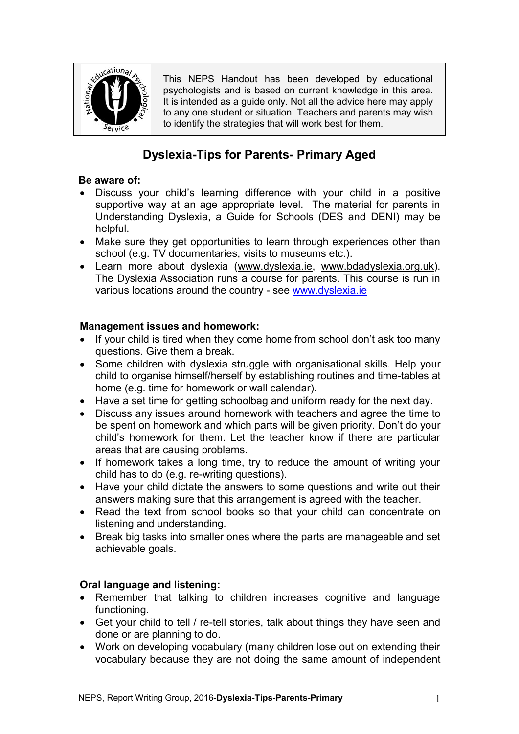

This NEPS Handout has been developed by educational psychologists and is based on current knowledge in this area. It is intended as a quide only. Not all the advice here may apply to any one student or situation. Teachers and parents may wish to identify the strategies that will work best for them.

# **Dyslexia-Tips for Parents- Primary Aged**

## **Be aware of:**

- Discuss your child's learning difference with your child in a positive supportive way at an age appropriate level. The material for parents in Understanding Dyslexia, a Guide for Schools (DES and DENI) may be helpful.
- Make sure they get opportunities to learn through experiences other than school (e.g. TV documentaries, visits to museums etc.).
- Learn more about dyslexia [\(www.dyslexia.ie,](http://www.dyslexia.ie/) [www.bdadyslexia.org.uk\)](http://www.bdadyslexia.org.uk/). The Dyslexia Association runs a course for parents. This course is run in various locations around the country - see [www.dyslexia.ie](http://www.dyslexia.ie/)

## **Management issues and homework:**

- If your child is tired when they come home from school don't ask too many questions. Give them a break.
- Some children with dyslexia struggle with organisational skills. Help your child to organise himself/herself by establishing routines and time-tables at home (e.g. time for homework or wall calendar).
- Have a set time for getting schoolbag and uniform ready for the next day.
- Discuss any issues around homework with teachers and agree the time to be spent on homework and which parts will be given priority. Don't do your child's homework for them. Let the teacher know if there are particular areas that are causing problems.
- If homework takes a long time, try to reduce the amount of writing your child has to do (e.g. re-writing questions).
- Have your child dictate the answers to some questions and write out their answers making sure that this arrangement is agreed with the teacher.
- Read the text from school books so that your child can concentrate on listening and understanding.
- Break big tasks into smaller ones where the parts are manageable and set achievable goals.

## **Oral language and listening:**

- Remember that talking to children increases cognitive and language functioning.
- Get your child to tell / re-tell stories, talk about things they have seen and done or are planning to do.
- Work on developing vocabulary (many children lose out on extending their vocabulary because they are not doing the same amount of independent